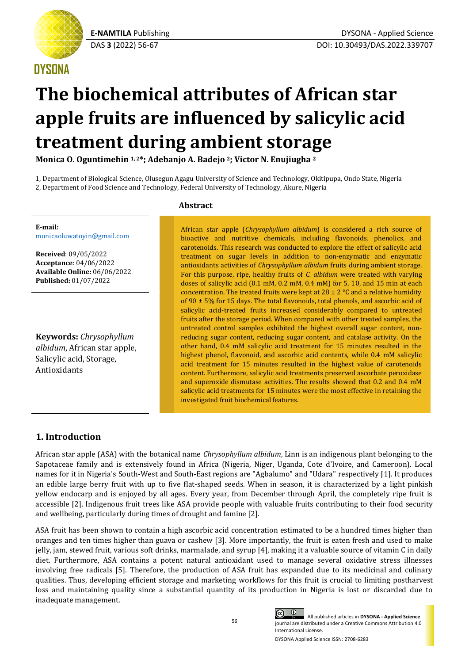## **DYSONA**

# **The biochemical attributes of African star apple fruits are influenced by salicylic acid treatment during ambient storage**

**Monica O. Oguntimehin 1, 2\*; Adebanjo A. Badejo <sup>2</sup>; Victor N. Enujiugha <sup>2</sup>**

1, Department of Biological Science, Olusegun Agagu University of Science and Technology, Okitipupa, Ondo State, Nigeria 2, Department of Food Science and Technology, Federal University of Technology, Akure, Nigeria

**E-mail:** [monicaoluwatoyin@gmail.com](mailto:monicaoluwatoyin@gmail.com)

**Received**: 09/05/2022 **Acceptance**: 04/06/2022 **Available Online:** 06/06/2022 **Published:** 01/07/2022

**Keywords:** *Chrysophyllum albidum*, African star apple, Salicylic acid, Storage, Antioxidants

## **Abstract**

African star apple (*Chrysophyllum albidum*) is considered a rich source of bioactive and nutritive chemicals, including flavonoids, phenolics, and carotenoids. This research was conducted to explore the effect of salicylic acid treatment on sugar levels in addition to non-enzymatic and enzymatic antioxidants activities of *Chrysophyllum albidum* fruits during ambient storage. For this purpose, ripe, healthy fruits of *C. albidum* were treated with varying doses of salicylic acid (0.1 mM, 0.2 mM, 0.4 mM) for 5, 10, and 15 min at each concentration. The treated fruits were kept at  $28 \pm 2$  °C and a relative humidity of 90 ± 5% for 15 days. The total flavonoids, total phenols, and ascorbic acid of salicylic acid-treated fruits increased considerably compared to untreated fruits after the storage period. When compared with other treated samples, the untreated control samples exhibited the highest overall sugar content, nonreducing sugar content, reducing sugar content, and catalase activity. On the other hand, 0.4 mM salicylic acid treatment for 15 minutes resulted in the highest phenol, flavonoid, and ascorbic acid contents, while 0.4 mM salicylic acid treatment for 15 minutes resulted in the highest value of carotenoids content. Furthermore, salicylic acid treatments preserved ascorbate peroxidase and superoxide dismutase activities. The results showed that 0.2 and 0.4 mM salicylic acid treatments for 15 minutes were the most effective in retaining the investigated fruit biochemical features.

## **1. Introduction**

African star apple (ASA) with the botanical name *Chrysophyllum albidum*, Linn is an indigenous plant belonging to the Sapotaceae family and is extensively found in Africa (Nigeria, Niger, Uganda, Cote d'Ivoire, and Cameroon). Local names for it in Nigeria's South-West and South-East regions are "Agbalumo" and "Udara" respectively [1]. It produces an edible large berry fruit with up to five flat-shaped seeds. When in season, it is characterized by a light pinkish yellow endocarp and is enjoyed by all ages. Every year, from December through April, the completely ripe fruit is accessible [2]. Indigenous fruit trees like ASA provide people with valuable fruits contributing to their food security and wellbeing, particularly during times of drought and famine [2].

ASA fruit has been shown to contain a high ascorbic acid concentration estimated to be a hundred times higher than oranges and ten times higher than guava or cashew [3]. More importantly, the fruit is eaten fresh and used to make jelly, jam, stewed fruit, various soft drinks, marmalade, and syrup [4], making it a valuable source of vitamin C in daily diet. Furthermore, ASA contains a potent natural antioxidant used to manage several oxidative stress illnesses involving free radicals [5]. Therefore, the production of ASA fruit has expanded due to its medicinal and culinary qualities. Thus, developing efficient storage and marketing workflows for this fruit is crucial to limiting postharvest loss and maintaining quality since a substantial quantity of its production in Nigeria is lost or discarded due to inadequate management.



All published articles in **DYSONA - Applied Science** journal are distributed under a Creative Commons Attribution 4.0 International License.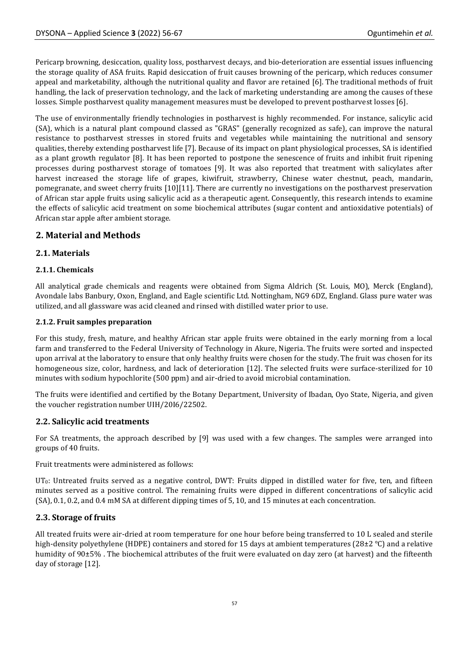Pericarp browning, desiccation, quality loss, postharvest decays, and bio-deterioration are essential issues influencing the storage quality of ASA fruits. Rapid desiccation of fruit causes browning of the pericarp, which reduces consumer appeal and marketability, although the nutritional quality and flavor are retained [6]. The traditional methods of fruit handling, the lack of preservation technology, and the lack of marketing understanding are among the causes of these losses. Simple postharvest quality management measures must be developed to prevent postharvest losses [6].

The use of environmentally friendly technologies in postharvest is highly recommended. For instance, salicylic acid (SA), which is a natural plant compound classed as "GRAS" (generally recognized as safe), can improve the natural resistance to postharvest stresses in stored fruits and vegetables while maintaining the nutritional and sensory qualities, thereby extending postharvest life [7]. Because of its impact on plant physiological processes, SA is identified as a plant growth regulator [8]. It has been reported to postpone the senescence of fruits and inhibit fruit ripening processes during postharvest storage of tomatoes [9]. It was also reported that treatment with salicylates after harvest increased the storage life of grapes, kiwifruit, strawberry, Chinese water chestnut, peach, mandarin, pomegranate, and sweet cherry fruits [10][11]. There are currently no investigations on the postharvest preservation of African star apple fruits using salicylic acid as a therapeutic agent. Consequently, this research intends to examine the effects of salicylic acid treatment on some biochemical attributes (sugar content and antioxidative potentials) of African star apple after ambient storage.

## **2. Material and Methods**

## **2.1. Materials**

#### **2.1.1. Chemicals**

All analytical grade chemicals and reagents were obtained from Sigma Aldrich (St. Louis, MO), Merck (England), Avondale labs Banbury, Oxon, England, and Eagle scientific Ltd. Nottingham, NG9 6DZ, England. Glass pure water was utilized, and all glassware was acid cleaned and rinsed with distilled water prior to use.

#### **2.1.2. Fruit samples preparation**

For this study, fresh, mature, and healthy African star apple fruits were obtained in the early morning from a local farm and transferred to the Federal University of Technology in Akure, Nigeria. The fruits were sorted and inspected upon arrival at the laboratory to ensure that only healthy fruits were chosen for the study. The fruit was chosen for its homogeneous size, color, hardness, and lack of deterioration [12]. The selected fruits were surface-sterilized for 10 minutes with sodium hypochlorite (500 ppm) and air-dried to avoid microbial contamination.

The fruits were identified and certified by the Botany Department, University of Ibadan, Oyo State, Nigeria, and given the voucher registration number UIH/20I6/22502.

## **2.2. Salicylic acid treatments**

For SA treatments, the approach described by [9] was used with a few changes. The samples were arranged into groups of 40 fruits.

Fruit treatments were administered as follows:

UT<sub>0</sub>: Untreated fruits served as a negative control, DWT: Fruits dipped in distilled water for five, ten, and fifteen minutes served as a positive control. The remaining fruits were dipped in different concentrations of salicylic acid (SA), 0.1, 0.2, and 0.4 mM SA at different dipping times of 5, 10, and 15 minutes at each concentration.

## **2.3. Storage of fruits**

All treated fruits were air-dried at room temperature for one hour before being transferred to 10 L sealed and sterile high-density polyethylene (HDPE) containers and stored for 15 days at ambient temperatures (28±2 °C) and a relative humidity of 90±5%. The biochemical attributes of the fruit were evaluated on day zero (at harvest) and the fifteenth day of storage [12].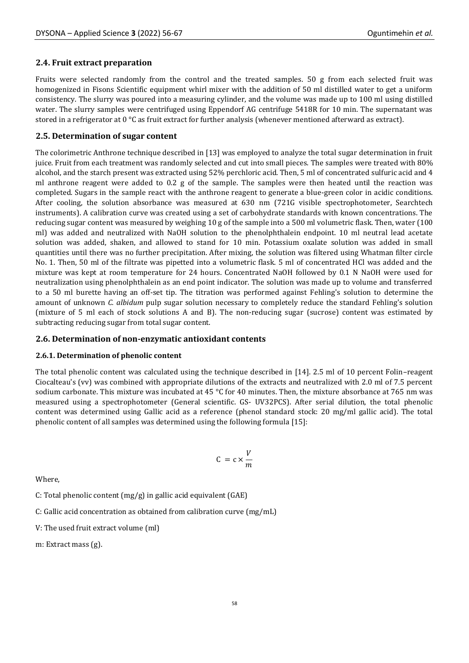## **2.4. Fruit extract preparation**

Fruits were selected randomly from the control and the treated samples. 50 g from each selected fruit was homogenized in Fisons Scientific equipment whirl mixer with the addition of 50 ml distilled water to get a uniform consistency. The slurry was poured into a measuring cylinder, and the volume was made up to 100 ml using distilled water. The slurry samples were centrifuged using Eppendorf AG centrifuge 5418R for 10 min. The supernatant was stored in a refrigerator at 0 °C as fruit extract for further analysis (whenever mentioned afterward as extract).

### **2.5. Determination of sugar content**

The colorimetric Anthrone technique described in [13] was employed to analyze the total sugar determination in fruit juice. Fruit from each treatment was randomly selected and cut into small pieces. The samples were treated with 80% alcohol, and the starch present was extracted using 52% perchloric acid. Then, 5 ml of concentrated sulfuric acid and 4 ml anthrone reagent were added to 0.2 g of the sample. The samples were then heated until the reaction was completed. Sugars in the sample react with the anthrone reagent to generate a blue-green color in acidic conditions. After cooling, the solution absorbance was measured at 630 nm (721G visible spectrophotometer, Searchtech instruments). A calibration curve was created using a set of carbohydrate standards with known concentrations. The reducing sugar content was measured by weighing 10 g of the sample into a 500 ml volumetric flask. Then, water (100 ml) was added and neutralized with NaOH solution to the phenolphthalein endpoint. 10 ml neutral lead acetate solution was added, shaken, and allowed to stand for 10 min. Potassium oxalate solution was added in small quantities until there was no further precipitation. After mixing, the solution was filtered using Whatman filter circle No. 1. Then, 50 ml of the filtrate was pipetted into a volumetric flask. 5 ml of concentrated HCl was added and the mixture was kept at room temperature for 24 hours. Concentrated NaOH followed by 0.1 N NaOH were used for neutralization using phenolphthalein as an end point indicator. The solution was made up to volume and transferred to a 50 ml burette having an off-set tip. The titration was performed against Fehling's solution to determine the amount of unknown *C. albidum* pulp sugar solution necessary to completely reduce the standard Fehling's solution (mixture of 5 ml each of stock solutions A and B). The non-reducing sugar (sucrose) content was estimated by subtracting reducing sugar from total sugar content.

#### **2.6. Determination of non-enzymatic antioxidant contents**

#### **2.6.1. Determination of phenolic content**

The total phenolic content was calculated using the technique described in [14]. 2.5 ml of 10 percent Folin–reagent Ciocalteau's (vv) was combined with appropriate dilutions of the extracts and neutralized with 2.0 ml of 7.5 percent sodium carbonate. This mixture was incubated at 45 °C for 40 minutes. Then, the mixture absorbance at 765 nm was measured using a spectrophotometer (General scientific. GS- UV32PCS). After serial dilution, the total phenolic content was determined using Gallic acid as a reference (phenol standard stock: 20 mg/ml gallic acid). The total phenolic content of all samples was determined using the following formula [15]:

$$
C = c \times \frac{V}{m}
$$

Where,

C: Total phenolic content (mg/g) in gallic acid equivalent (GAE)

C: Gallic acid concentration as obtained from calibration curve (mg/mL)

V: The used fruit extract volume (ml)

m: Extract mass (g).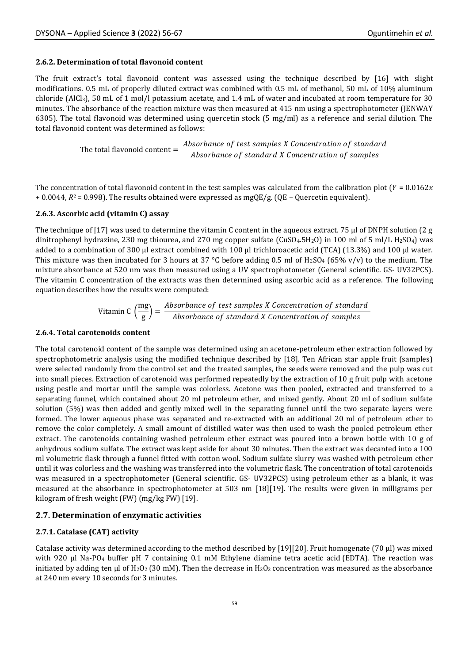#### **2.6.2. Determination of total flavonoid content**

The fruit extract's total flavonoid content was assessed using the technique described by [16] with slight modifications. 0.5 mL of properly diluted extract was combined with 0.5 mL of methanol, 50 mL of 10% aluminum chloride (AlCl<sub>3</sub>), 50 mL of 1 mol/l potassium acetate, and 1.4 mL of water and incubated at room temperature for 30 minutes. The absorbance of the reaction mixture was then measured at 415 nm using a spectrophotometer (JENWAY 6305). The total flavonoid was determined using quercetin stock (5 mg/ml) as a reference and serial dilution. The total flavonoid content was determined as follows:

> The total flavonoid content  $=$   $\frac{Absorbance}{A}$  of test samples X Concentration of standard Absorbance of standard X Concentration of samples

The concentration of total flavonoid content in the test samples was calculated from the calibration plot ( $Y = 0.0162x$  $+ 0.0044$ ,  $R^2 = 0.998$ ). The results obtained were expressed as mgQE/g. (QE – Quercetin equivalent).

#### **2.6.3. Ascorbic acid (vitamin C) assay**

The technique of [17] was used to determine the vitamin C content in the aqueous extract. 75 μl of DNPH solution (2 g dinitrophenyl hydrazine, 230 mg thiourea, and 270 mg copper sulfate (CuSO<sub>4</sub>.5H<sub>2</sub>O) in 100 ml of 5 ml/L H<sub>2</sub>SO<sub>4</sub>) was added to a combination of 300 μl extract combined with 100 μl trichloroacetic acid (TCA) (13.3%) and 100 μl water. This mixture was then incubated for 3 hours at 37 °C before adding 0.5 ml of  $H_2SO_4$  (65% v/v) to the medium. The mixture absorbance at 520 nm was then measured using a UV spectrophotometer (General scientific. GS- UV32PCS). The vitamin C concentration of the extracts was then determined using ascorbic acid as a reference. The following equation describes how the results were computed:

> Vitamin C  $\left(\frac{mg}{m}\right)$  $\left(\frac{\text{mg}}{\text{g}}\right) = \frac{Absorbance\ of\ test\ samples\ X\ Concentration\ of\ standard}{Absorbance\ of\ standard\ X\ Concentration\ of\ samples}$ Absorbance of standard X Concentration of samples

#### **2.6.4. Total carotenoids content**

The total carotenoid content of the sample was determined using an acetone-petroleum ether extraction followed by spectrophotometric analysis using the modified technique described by [18]. Ten African star apple fruit (samples) were selected randomly from the control set and the treated samples, the seeds were removed and the pulp was cut into small pieces. Extraction of carotenoid was performed repeatedly by the extraction of 10 g fruit pulp with acetone using pestle and mortar until the sample was colorless. Acetone was then pooled, extracted and transferred to a separating funnel, which contained about 20 ml petroleum ether, and mixed gently. About 20 ml of sodium sulfate solution (5%) was then added and gently mixed well in the separating funnel until the two separate layers were formed. The lower aqueous phase was separated and re-extracted with an additional 20 ml of petroleum ether to remove the color completely. A small amount of distilled water was then used to wash the pooled petroleum ether extract. The carotenoids containing washed petroleum ether extract was poured into a brown bottle with 10 g of anhydrous sodium sulfate. The extract was kept aside for about 30 minutes. Then the extract was decanted into a 100 ml volumetric flask through a funnel fitted with cotton wool. Sodium sulfate slurry was washed with petroleum ether until it was colorless and the washing was transferred into the volumetric flask. The concentration of total carotenoids was measured in a spectrophotometer (General scientific. GS- UV32PCS) using petroleum ether as a blank, it was measured at the absorbance in spectrophotometer at 503 nm [18][19]. The results were given in milligrams per kilogram of fresh weight (FW) (mg/kg FW) [19].

#### **2.7. Determination of enzymatic activities**

#### **2.7.1. Catalase (CAT) activity**

Catalase activity was determined according to the method described by [19][20]. Fruit homogenate (70 μl) was mixed with 920 μl Na-PO<sup>4</sup> buffer pH 7 containing 0.1 mM Ethylene diamine tetra acetic acid (EDTA). The reaction was initiated by adding ten μl of H<sub>2</sub>O<sub>2</sub> (30 mM). Then the decrease in H<sub>2</sub>O<sub>2</sub> concentration was measured as the absorbance at 240 nm every 10 seconds for 3 minutes.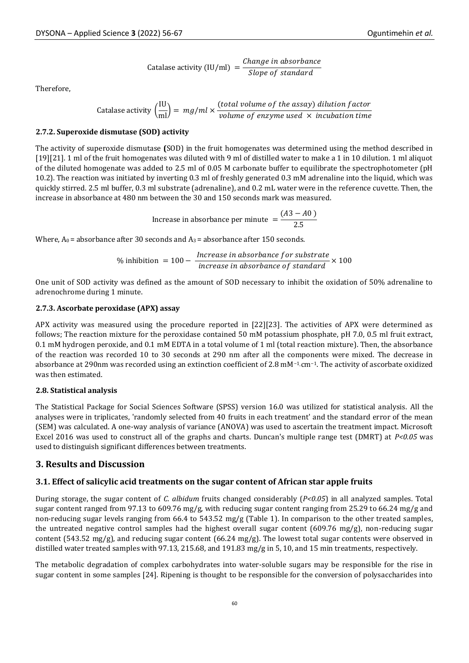\n Cataloge activity (IU/ml) = 
$$
\frac{\text{Change in absorbance}}{\text{Slope of standard}}
$$
\n

Therefore,

Catalase activity 
$$
\left(\frac{IU}{ml}\right) = mg/ml \times \frac{(total volume of the assay) dilution factor}{volume of enzyme used \times incubation time}
$$

#### **2.7.2. Superoxide dismutase (SOD) activity**

The activity of superoxide dismutase **(**SOD) in the fruit homogenates was determined using the method described in [19][21]. 1 ml of the fruit homogenates was diluted with 9 ml of distilled water to make a 1 in 10 dilution. 1 ml aliquot of the diluted homogenate was added to 2.5 ml of 0.05 M carbonate buffer to equilibrate the spectrophotometer (pH 10.2). The reaction was initiated by inverting 0.3 ml of freshly generated 0.3 mM adrenaline into the liquid, which was quickly stirred. 2.5 ml buffer, 0.3 ml substrate (adrenaline), and 0.2 mL water were in the reference cuvette. Then, the increase in absorbance at 480 nm between the 30 and 150 seconds mark was measured.

Increase in absorbance per minute 
$$
=\frac{(A3 - A0)}{2.5}
$$

Where,  $A_0$  = absorbance after 30 seconds and  $A_3$  = absorbance after 150 seconds.

$$
\% \text{ inhibition} = 100 - \frac{Increase \text{ in absorbance for substrate}}{increase \text{ in absorbance of standard}} \times 100
$$

One unit of SOD activity was defined as the amount of SOD necessary to inhibit the oxidation of 50% adrenaline to adrenochrome during 1 minute.

#### **2.7.3. Ascorbate peroxidase (APX) assay**

APX activity was measured using the procedure reported in [22][23]. The activities of APX were determined as follows; The reaction mixture for the peroxidase contained 50 mM potassium phosphate, pH 7.0, 0.5 ml fruit extract, 0.1 mM hydrogen peroxide, and 0.1 mM EDTA in a total volume of 1 ml (total reaction mixture). Then, the absorbance of the reaction was recorded 10 to 30 seconds at 290 nm after all the components were mixed. The decrease in absorbance at 290nm was recorded using an extinction coefficient of 2.8 mM<sup>-1</sup> cm<sup>-1</sup>. The activity of ascorbate oxidized was then estimated.

#### **2.8. Statistical analysis**

The Statistical Package for Social Sciences Software (SPSS) version 16.0 was utilized for statistical analysis. All the analyses were in triplicates, 'randomly selected from 40 fruits in each treatment' and the standard error of the mean (SEM) was calculated. A one-way analysis of variance (ANOVA) was used to ascertain the treatment impact. Microsoft Excel 2016 was used to construct all of the graphs and charts. Duncan's multiple range test (DMRT) at *P<0.05* was used to distinguish significant differences between treatments.

#### **3. Results and Discussion**

#### **3.1. Effect of salicylic acid treatments on the sugar content of African star apple fruits**

During storage, the sugar content of *C. albidum* fruits changed considerably (*P<0.05*) in all analyzed samples. Total sugar content ranged from 97.13 to 609.76 mg/g, with reducing sugar content ranging from 25.29 to 66.24 mg/g and non-reducing sugar levels ranging from 66.4 to 543.52 mg/g (Table 1). In comparison to the other treated samples, the untreated negative control samples had the highest overall sugar content (609.76 mg/g), non-reducing sugar content (543.52 mg/g), and reducing sugar content (66.24 mg/g). The lowest total sugar contents were observed in distilled water treated samples with 97.13, 215.68, and 191.83 mg/g in 5, 10, and 15 min treatments, respectively.

The metabolic degradation of complex carbohydrates into water-soluble sugars may be responsible for the rise in sugar content in some samples [24]. Ripening is thought to be responsible for the conversion of polysaccharides into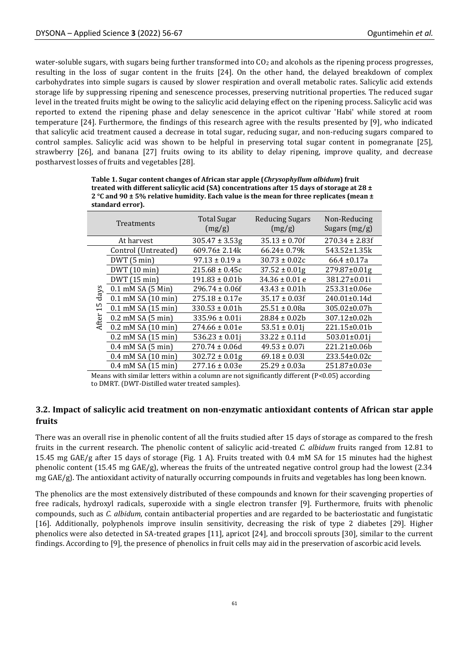water-soluble sugars, with sugars being further transformed into  $CO<sub>2</sub>$  and alcohols as the ripening process progresses, resulting in the loss of sugar content in the fruits [24]. On the other hand, the delayed breakdown of complex carbohydrates into simple sugars is caused by slower respiration and overall metabolic rates. Salicylic acid extends storage life by suppressing ripening and senescence processes, preserving nutritional properties. The reduced sugar level in the treated fruits might be owing to the salicylic acid delaying effect on the ripening process. Salicylic acid was reported to extend the ripening phase and delay senescence in the apricot cultivar 'Habi' while stored at room temperature [24]. Furthermore, the findings of this research agree with the results presented by [9], who indicated that salicylic acid treatment caused a decrease in total sugar, reducing sugar, and non-reducing sugars compared to control samples. Salicylic acid was shown to be helpful in preserving total sugar content in pomegranate [25], strawberry [26], and banana [27] fruits owing to its ability to delay ripening, improve quality, and decrease postharvest losses of fruits and vegetables [28].

|                     | <b>Treatments</b>              | <b>Total Sugar</b><br>(mg/g) | <b>Reducing Sugars</b><br>(mg/g) | Non-Reducing<br>Sugars $(mg/g)$ |
|---------------------|--------------------------------|------------------------------|----------------------------------|---------------------------------|
|                     | At harvest                     | $305.47 \pm 3.53g$           | $35.13 \pm 0.70$ f               | $270.34 \pm 2.83f$              |
| days<br>15<br>After | Control (Untreated)            | 609.76±2.14k                 | $66.24 \pm 0.79k$                | 543.52±1.35k                    |
|                     | DWT(5 min)                     | $97.13 \pm 0.19$ a           | $30.73 \pm 0.02c$                | $66.4 \pm 0.17a$                |
|                     | DWT (10 min)                   | $215.68 \pm 0.45c$           | $37.52 \pm 0.01g$                | 279.87±0.01g                    |
|                     | DWT (15 min)                   | $191.83 \pm 0.01b$           | $34.36 \pm 0.01$ e               | 381.27±0.01i                    |
|                     | $0.1$ mM SA $(5$ Min $)$       | $296.74 \pm 0.06f$           | $43.43 \pm 0.01h$                | 253.31±0.06e                    |
|                     | $0.1$ mM SA $(10$ min)         | $275.18 \pm 0.17e$           | $35.17 \pm 0.03$ f               | $240.01 \pm 0.14$ d             |
|                     | $0.1$ mM SA $(15$ min)         | $330.53 \pm 0.01h$           | $25.51 \pm 0.08a$                | 305.02±0.07h                    |
|                     | $0.2$ mM SA $(5 \text{ min})$  | $335.96 \pm 0.01i$           | $28.84 \pm 0.02b$                | 307.12±0.02h                    |
|                     | $0.2$ mM SA $(10 \text{ min})$ | $274.66 \pm 0.01e$           | $53.51 \pm 0.01$ j               | 221.15±0.01b                    |
|                     | $0.2$ mM SA $(15$ min)         | $536.23 \pm 0.01$ j          | $33.22 \pm 0.11d$                | $503.01 \pm 0.01$ j             |
|                     | $0.4$ mM SA $(5$ min)          | $270.74 \pm 0.06d$           | $49.53 \pm 0.07$ i               | 221.21±0.06b                    |
|                     | $0.4$ mM SA $(10$ min)         | $302.72 \pm 0.01g$           | $69.18 \pm 0.031$                | 233.54±0.02c                    |
|                     | $0.4$ mM SA $(15$ min)         | $277.16 \pm 0.03e$           | $25.29 \pm 0.03a$                | 251.87±0.03e                    |

**Table 1. Sugar content changes of African star apple (***Chrysophyllum albidum***) fruit treated with different salicylic acid (SA) concentrations after 15 days of storage at 28 ± 2 °C and 90 ± 5% relative humidity. Each value is the mean for three replicates (mean ± standard error).**

Means with similar letters within a column are not significantly different (P<0.05) according to DMRT. (DWT-Distilled water treated samples).

## **3.2. Impact of salicylic acid treatment on non-enzymatic antioxidant contents of African star apple fruits**

There was an overall rise in phenolic content of all the fruits studied after 15 days of storage as compared to the fresh fruits in the current research. The phenolic content of salicylic acid-treated *C. albidum* fruits ranged from 12.81 to 15.45 mg GAE/g after 15 days of storage (Fig. 1 A). Fruits treated with 0.4 mM SA for 15 minutes had the highest phenolic content (15.45 mg  $GAE/g$ ), whereas the fruits of the untreated negative control group had the lowest (2.34 mg GAE/g). The antioxidant activity of naturally occurring compounds in fruits and vegetables has long been known.

The phenolics are the most extensively distributed of these compounds and known for their scavenging properties of free radicals, hydroxyl radicals, superoxide with a single electron transfer [9]. Furthermore, fruits with phenolic compounds, such as *C. albidum*, contain antibacterial properties and are regarded to be bacteriostatic and fungistatic [16]. Additionally, polyphenols improve insulin sensitivity, decreasing the risk of type 2 diabetes [29]. Higher phenolics were also detected in SA-treated grapes [11], apricot [24], and broccoli sprouts [30], similar to the current findings. According to [9], the presence of phenolics in fruit cells may aid in the preservation of ascorbic acid levels.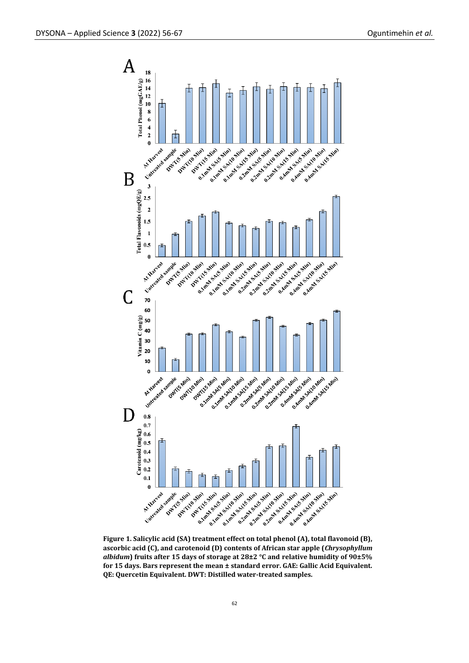

**Figure 1. Salicylic acid (SA) treatment effect on total phenol (A), total flavonoid (B), ascorbic acid (C), and carotenoid (D) contents of African star apple (***Chrysophyllum albidum***) fruits after 15 days of storage at 28±2 °C and relative humidity of 90±5% for 15 days. Bars represent the mean ± standard error. GAE: Gallic Acid Equivalent. QE: Quercetin Equivalent. DWT: Distilled water-treated samples.**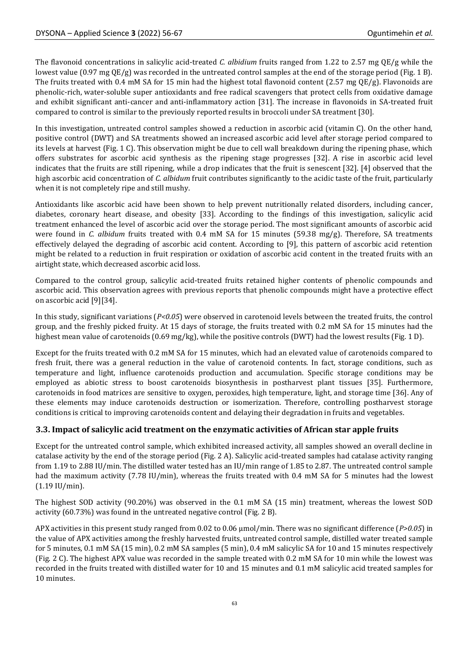The flavonoid concentrations in salicylic acid-treated *C. albidium* fruits ranged from 1.22 to 2.57 mg QE/g while the lowest value  $(0.97 \text{ mg } QE/g)$  was recorded in the untreated control samples at the end of the storage period (Fig. 1 B). The fruits treated with 0.4 mM SA for 15 min had the highest total flavonoid content (2.57 mg QE/g). Flavonoids are phenolic-rich, water-soluble super antioxidants and free radical scavengers that protect cells from oxidative damage and exhibit significant anti-cancer and anti-inflammatory action [31]. The increase in flavonoids in SA-treated fruit compared to control is similar to the previously reported results in broccoli under SA treatment [30].

In this investigation, untreated control samples showed a reduction in ascorbic acid (vitamin C). On the other hand, positive control (DWT) and SA treatments showed an increased ascorbic acid level after storage period compared to its levels at harvest (Fig. 1 C). This observation might be due to cell wall breakdown during the ripening phase, which offers substrates for ascorbic acid synthesis as the ripening stage progresses [32]. A rise in ascorbic acid level indicates that the fruits are still ripening, while a drop indicates that the fruit is senescent [32]. [4] observed that the high ascorbic acid concentration of *C. albidum* fruit contributes significantly to the acidic taste of the fruit, particularly when it is not completely ripe and still mushy.

Antioxidants like ascorbic acid have been shown to help prevent nutritionally related disorders, including cancer, diabetes, coronary heart disease, and obesity [33]. According to the findings of this investigation, salicylic acid treatment enhanced the level of ascorbic acid over the storage period. The most significant amounts of ascorbic acid were found in *C. albidum* fruits treated with 0.4 mM SA for 15 minutes (59.38 mg/g). Therefore, SA treatments effectively delayed the degrading of ascorbic acid content. According to [9], this pattern of ascorbic acid retention might be related to a reduction in fruit respiration or oxidation of ascorbic acid content in the treated fruits with an airtight state, which decreased ascorbic acid loss.

Compared to the control group, salicylic acid-treated fruits retained higher contents of phenolic compounds and ascorbic acid. This observation agrees with previous reports that phenolic compounds might have a protective effect on ascorbic acid [9][34].

In this study, significant variations (*P<0.05*) were observed in carotenoid levels between the treated fruits, the control group, and the freshly picked fruity. At 15 days of storage, the fruits treated with 0.2 mM SA for 15 minutes had the highest mean value of carotenoids (0.69 mg/kg), while the positive controls (DWT) had the lowest results (Fig. 1 D).

Except for the fruits treated with 0.2 mM SA for 15 minutes, which had an elevated value of carotenoids compared to fresh fruit, there was a general reduction in the value of carotenoid contents. In fact, storage conditions, such as temperature and light, influence carotenoids production and accumulation. Specific storage conditions may be employed as abiotic stress to boost carotenoids biosynthesis in postharvest plant tissues [35]. Furthermore, carotenoids in food matrices are sensitive to oxygen, peroxides, high temperature, light, and storage time [36]. Any of these elements may induce carotenoids destruction or isomerization. Therefore, controlling postharvest storage conditions is critical to improving carotenoids content and delaying their degradation in fruits and vegetables.

## **3.3. Impact of salicylic acid treatment on the enzymatic activities of African star apple fruits**

Except for the untreated control sample, which exhibited increased activity, all samples showed an overall decline in catalase activity by the end of the storage period (Fig. 2 A). Salicylic acid-treated samples had catalase activity ranging from 1.19 to 2.88 IU/min. The distilled water tested has an IU/min range of 1.85 to 2.87. The untreated control sample had the maximum activity (7.78 IU/min), whereas the fruits treated with 0.4 mM SA for 5 minutes had the lowest (1.19 IU/min).

The highest SOD activity (90.20%) was observed in the 0.1 mM SA (15 min) treatment, whereas the lowest SOD activity (60.73%) was found in the untreated negative control (Fig. 2 B).

APX activities in this present study ranged from 0.02 to 0.06 µmol/min. There was no significant difference (*P>0.05*) in the value of APX activities among the freshly harvested fruits, untreated control sample, distilled water treated sample for 5 minutes, 0.1 mM SA (15 min), 0.2 mM SA samples (5 min), 0.4 mM salicylic SA for 10 and 15 minutes respectively (Fig. 2 C). The highest APX value was recorded in the sample treated with 0.2 mM SA for 10 min while the lowest was recorded in the fruits treated with distilled water for 10 and 15 minutes and 0.1 mM salicylic acid treated samples for 10 minutes.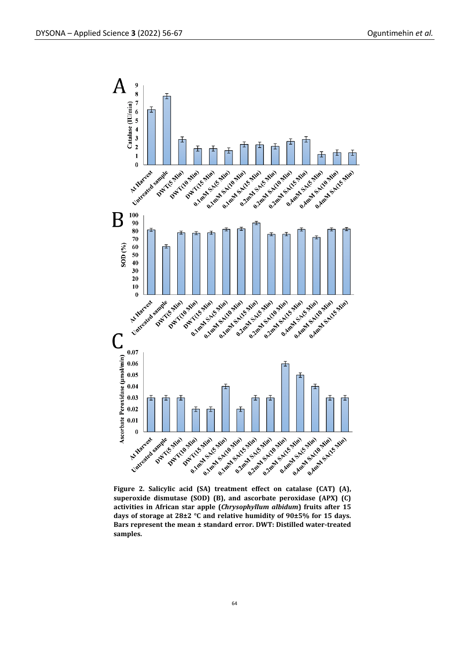

**Figure 2. Salicylic acid (SA) treatment effect on catalase (CAT) (A), superoxide dismutase (SOD) (B), and ascorbate peroxidase (APX) (C) activities in African star apple (***Chrysophyllum albidum***) fruits after 15 days of storage at 28±2 °C and relative humidity of 90±5% for 15 days. Bars represent the mean ± standard error. DWT: Distilled water-treated samples.**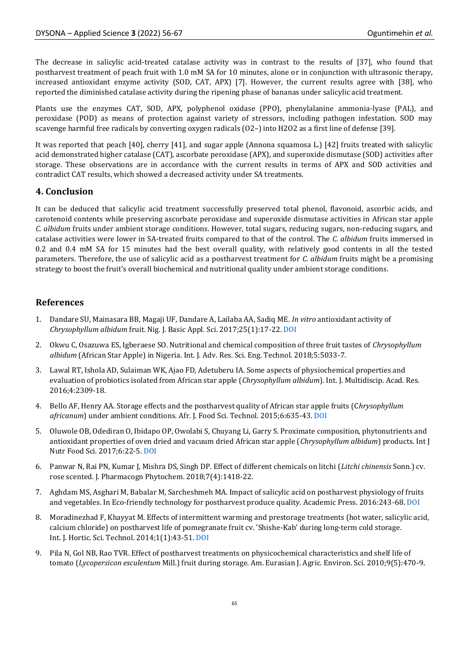The decrease in salicylic acid-treated catalase activity was in contrast to the results of [37], who found that postharvest treatment of peach fruit with 1.0 mM SA for 10 minutes, alone or in conjunction with ultrasonic therapy, increased antioxidant enzyme activity (SOD, CAT, APX) [7]. However, the current results agree with [38], who reported the diminished catalase activity during the ripening phase of bananas under salicylic acid treatment.

Plants use the enzymes CAT, SOD, APX, polyphenol oxidase (PPO), phenylalanine ammonia-lyase (PAL), and peroxidase (POD) as means of protection against variety of stressors, including pathogen infestation. SOD may scavenge harmful free radicals by converting oxygen radicals (O2–) into H2O2 as a first line of defense [39].

It was reported that peach [40], cherry [41], and sugar apple (Annona squamosa L.) [42] fruits treated with salicylic acid demonstrated higher catalase (CAT), ascorbate peroxidase (APX), and superoxide dismutase (SOD) activities after storage. These observations are in accordance with the current results in terms of APX and SOD activities and contradict CAT results, which showed a decreased activity under SA treatments.

## **4. Conclusion**

It can be deduced that salicylic acid treatment successfully preserved total phenol, flavonoid, ascorbic acids, and carotenoid contents while preserving ascorbate peroxidase and superoxide dismutase activities in African star apple *C. albidum* fruits under ambient storage conditions. However, total sugars, reducing sugars, non-reducing sugars, and catalase activities were lower in SA-treated fruits compared to that of the control. The *C. albidum* fruits immersed in 0.2 and 0.4 mM SA for 15 minutes had the best overall quality, with relatively good contents in all the tested parameters. Therefore, the use of salicylic acid as a postharvest treatment for *C. albidum* fruits might be a promising strategy to boost the fruit's overall biochemical and nutritional quality under ambient storage conditions.

## **References**

- 1. Dandare SU, Mainasara BB, Magaji UF, Dandare A, Lailaba AA, Sadiq ME. *In vitro* antioxidant activity of *Chrysophyllum albidum* fruit. Nig. J. Basic Appl. Sci. 2017;25(1):17-22[. DOI](http://dx.doi.org/10.4314/njbas.v25i1.3)
- 2. Okwu C, Osazuwa ES, Igberaese SO. Nutritional and chemical composition of three fruit tastes of *Chrysophyllum albidum* (African Star Apple) in Nigeria. Int. J. Adv. Res. Sci. Eng. Technol. 2018;5:5033-7.
- 3. Lawal RT, Ishola AD, Sulaiman WK, Ajao FD, Adetuberu IA. Some aspects of physiochemical properties and evaluation of probiotics isolated from African star apple (*Chrysophyllum albidum*). Int. J. Multidiscip. Acad. Res. 2016;4:2309-18.
- 4. Bello AF, Henry AA. Storage effects and the postharvest quality of African star apple fruits (C*hrysophyllum africanum*) under ambient conditions. Afr. J. Food Sci. Technol. 2015;6:635-43. [DOI](http://dx.doi.org/10.14303/ajfst.2015.011)
- 5. Oluwole OB, Odediran O, Ibidapo OP, Owolabi S, Chuyang Li, Garry S. Proximate composition, phytonutrients and antioxidant properties of oven dried and vacuum dried African star apple (*Chrysophyllum albidum*) products. Int J Nutr Food Sci. 2017;6:22-5[. DOI](https://doi.org/10.11648/j.ijnfs.s.2017060601.14)
- 6. Panwar N, Rai PN, Kumar J, Mishra DS, Singh DP. Effect of different chemicals on litchi (*Litchi chinensis* Sonn.) cv. rose scented. J. Pharmacogn Phytochem. 2018;7(4):1418-22.
- 7. Aghdam MS, Asghari M, Babalar M, Sarcheshmeh MA. Impact of salicylic acid on postharvest physiology of fruits and vegetables. In Eco-friendly technology for postharvest produce quality. Academic Press. 2016:243-68[. DOI](https://doi.org/10.1016/B978-0-12-804313-4.00008-6)
- 8. Moradinezhad F, Khayyat M. Effects of intermittent warming and prestorage treatments (hot water, salicylic acid, calcium chloride) on postharvest life of pomegranate fruit cv. 'Shishe-Kab' during long-term cold storage. Int. J. Hortic. Sci. Technol. 2014;1(1):43-51. [DOI](http://dx.doi.org/10.22059/ijhst.2014.50517)
- 9. Pila N, Gol NB, Rao TVR. Effect of postharvest treatments on physicochemical characteristics and shelf life of tomato (*Lycopersicon esculentum* Mill.) fruit during storage. Am. Eurasian J. Agric. Environ. Sci. 2010;9(5):470-9.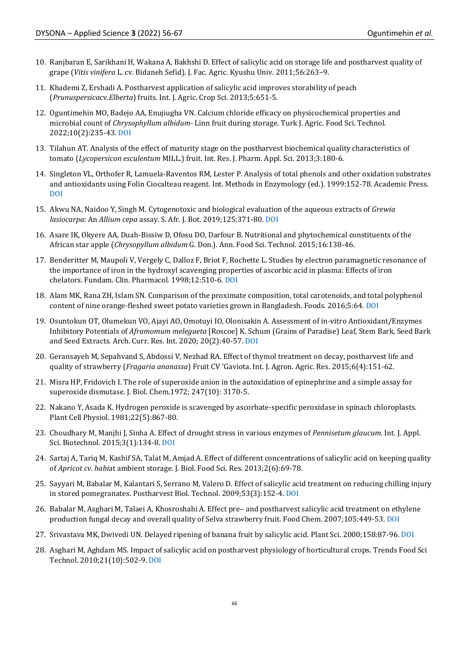- 10. Ranjbaran E, Sarikhani H, Wakana A, Bakhshi D. Effect of salicylic acid on storage life and postharvest quality of grape (*Vitis vinifera* L. cv. Bidaneh Sefid). J. Fac. Agric. Kyushu Univ. 2011;56:263–9.
- 11. Khademi Z, Ershadi A. Postharvest application of salicylic acid improves storability of peach (*Prunuspersica*cv.*Elberta*) fruits*.* Int. J. Agric. Crop Sci. 2013;5:651-5.
- 12. Oguntimehin MO, Badejo AA, Enujiugha VN. Calcium chloride efficacy on physicochemical properties and microbial count of *Chrysophyllum albidum-* Linn fruit during storage. Turk J. Agric. Food Sci. Technol. 2022;10(2):235-43. [DOI](https://doi.org/10.24925/turjaf.v10i2.235-243.4636)
- 13. Tilahun AT. Analysis of the effect of maturity stage on the postharvest biochemical quality characteristics of tomato (*Lycopersicon esculentum* MILL.) fruit. Int. Res. J. Pharm. Appl. Sci*.* 2013;3:180-6.
- 14. Singleton VL, Orthofer R, Lamuela-Raventos RM, Lester P. Analysis of total phenols and other oxidation substrates and antioxidants using Folin Ciocalteau reagent. Int. Methods in Enzymology (ed.). 1999:152-78. Academic Press. [DOI](https://doi.org/10.1016/S0076-6879(99)99017-1)
- 15. Akwu NA, Naidoo Y, Singh M. Cytogenotoxic and biological evaluation of the aqueous extracts of *Grewia lasiocarpa*: An *Allium cepa* assay. S. Afr. J. Bot. 2019;125:371-80. [DOI](https://doi.org/10.1016/j.sajb.2019.08.009)
- 16. Asare IK, Okyere AA, Duah-Bissiw D, Ofosu DO, Darfour B. Nutritional and phytochemical constituents of the African star apple (*Chrysopyllum albidum* G. Don.). Ann. Food Sci. Technol. 2015;16:138-46.
- 17. Benderitter M, Maupoli V, Vergely C, Dalloz F, Briot F, Rochette L. Studies by electron paramagnetic resonance of the importance of iron in the hydroxyl scavenging properties of ascorbic acid in plasma: Effects of iron chelators. Fundam. Clin. Pharmacol*.* 1998;12:510-6. [DOI](https://doi.org/10.1111/j.1472-8206.1998.tb00979.x)
- 18. Alam MK, Rana ZH, Islam SN. Comparison of the proximate composition, total carotenoids, and total polyphenol content of nine orange-fleshed sweet potato varieties grown in Bangladesh. Foods. 2016;5:64. [DOI](https://doi.org/10.3390/foods5030064)
- 19. Osuntokun OT, Olumekun VO, Ajayi AO, Omotuyi IO, Olonisakin A. Assessment of in-vitro Antioxidant/Enzymes Inhibitory Potentials of *Aframomum melegueta* [Roscoe] K. Schum (Grains of Paradise) Leaf, Stem Bark, Seed Bark and Seed Extracts. Arch. Curr. Res. Int. 2020; 20(2):40-57[. DOI](https://doi.org/10.9734/acri/2020/v20i230176)
- 20. Geransayeh M, Sepahvand S, Abdossi V, Nezhad RA. Effect of thymol treatment on decay, postharvest life and quality of strawberry (*Fragaria ananassa*) Fruit CV 'Gaviota. Int. J. Agron. Agric. Res. 2015;6(4):151-62.
- 21. Misra HP, Fridovich I. The role of superoxide anion in the autoxidation of epinephrine and a simple assay for superoxide dismutase. J. Biol. Chem.1972; 247(10): 3170-5.
- 22. Nakano Y, Asada K. Hydrogen peroxide is scavenged by ascorbate-specific peroxidase in spinach chloroplasts. Plant Cell Physiol. 1981;22(5):867-80.
- 23. Choudhary M, Manjhi J, Sinha A. Effect of drought stress in various enzymes of *Pennisetum glaucum.* Int. J. Appl. Sci. Biotechnol*.* 2015;3(1):134-8. [DOI](https://doi.org/10.3126/ijasbt.v3i1.12278)
- 24. Sartaj A, Tariq M, Kashif SA, Talat M, Amjad A. Effect of different concentrations of salicylic acid on keeping quality of *Apricot cv. habi*at ambient storage. J. Biol. Food Sci. Res. 2013;2(6):69-78.
- 25. Sayyari M, Babalar M, Kalantari S, Serrano M, Valero D. Effect of salicylic acid treatment on reducing chilling injury in stored pomegranates. Postharvest Biol. Technol. 2009;53(3):152-4[. DOI](https://doi.org/10.1016/j.postharvbio.2009.03.005)
- 26. Babalar M, Asghari M, Talaei A, Khosroshahi A. Effect pre– and postharvest salicylic acid treatment on ethylene production fungal decay and overall quality of Selva strawberry fruit. Food Chem. 2007;105:449-53. [DOI](https://doi.org/10.1016/j.foodchem.2007.03.021)
- 27. Srivastava MK, Dwivedi UN. Delayed ripening of banana fruit by salicylic acid. Plant Sci. 2000;158:87-96[. DOI](https://doi.org/10.1016/S0168-9452(00)00304-6)
- 28. Asghari M, Aghdam MS. Impact of salicylic acid on postharvest physiology of horticultural crops. Trends Food Sci Technol. 2010;21(10):502-9. [DOI](https://doi.org/10.1016/j.tifs.2010.07.009)